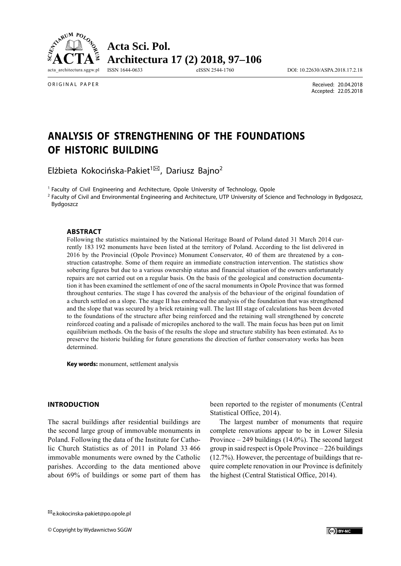

**Acta Sci. Pol. Architectura 17 (2) 2018, 97–106**

ISSN 1644-0633 eISSN 2544-1760 DOI: 10.22630/ASPA.2018.17.2.18

ORIGINAL PAPER

 Received: 20.04.2018 Accepted: 22.05.2018

# **ANALYSIS OF STRENGTHENING OF THE FOUNDATIONS OF HISTORIC BUILDING**

Elżbieta Kokocińska-Pakiet<sup>1⊠</sup>, Dariusz Bajno<sup>2</sup>

1 Faculty of Civil Engineering and Architecture, Opole University of Technology, Opole

<sup>2</sup> Faculty of Civil and Environmental Engineering and Architecture, UTP University of Science and Technology in Bydgoszcz, Bydgoszcz

#### **ABSTRACT**

Following the statistics maintained by the National Heritage Board of Poland dated 31 March 2014 currently 183 192 monuments have been listed at the territory of Poland. According to the list delivered in 2016 by the Provincial (Opole Province) Monument Conservator, 40 of them are threatened by a construction catastrophe. Some of them require an immediate construction intervention. The statistics show sobering figures but due to a various ownership status and financial situation of the owners unfortunately repairs are not carried out on a regular basis. On the basis of the geological and construction documentation it has been examined the settlement of one of the sacral monuments in Opole Province that was formed throughout centuries. The stage I has covered the analysis of the behaviour of the original foundation of a church settled on a slope. The stage II has embraced the analysis of the foundation that was strengthened and the slope that was secured by a brick retaining wall. The last III stage of calculations has been devoted to the foundations of the structure after being reinforced and the retaining wall strengthened by concrete reinforced coating and a palisade of micropiles anchored to the wall. The main focus has been put on limit equilibrium methods. On the basis of the results the slope and structure stability has been estimated. As to preserve the historic building for future generations the direction of further conservatory works has been determined.

**Key words:** monument, settlement analysis

#### **INTRODUCTION**

The sacral buildings after residential buildings are the second large group of immovable monuments in Poland. Following the data of the Institute for Catholic Church Statistics as of 2011 in Poland 33 466 immovable monuments were owned by the Catholic parishes. According to the data mentioned above about 69% of buildings or some part of them has been reported to the register of monuments (Central Statistical Office, 2014).

The largest number of monuments that require complete renovations appear to be in Lower Silesia Province – 249 buildings (14.0%). The second largest group in said respect is Opole Province – 226 buildings (12.7%). However, the percentage of buildings that require complete renovation in our Province is definitely the highest (Central Statistical Office, 2014).

<sup>&</sup>lt;sup>⊠</sup>e.kokocinska-pakiet@po.opole.pl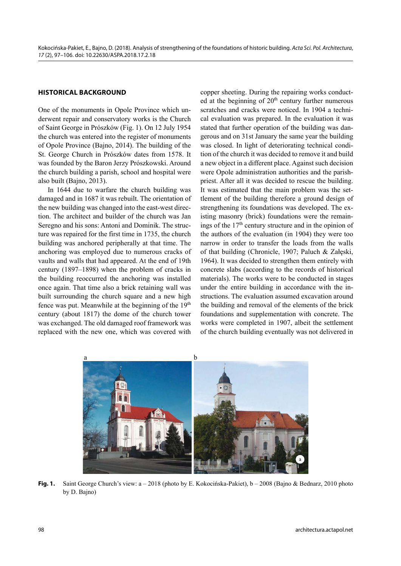## **HISTORICAL BACKGROUND**

One of the monuments in Opole Province which underwent repair and conservatory works is the Church of Saint George in Prószków (Fig. 1). On 12 July 1954 the church was entered into the register of monuments of Opole Province (Bajno, 2014). The building of the St. George Church in Prószków dates from 1578. It was founded by the Baron Jerzy Prószkowski. Around the church building a parish, school and hospital were also built (Bajno, 2013).

In 1644 due to warfare the church building was damaged and in 1687 it was rebuilt. The orientation of the new building was changed into the east-west direction. The architect and builder of the church was Jan Seregno and his sons: Antoni and Dominik. The structure was repaired for the first time in 1735, the church building was anchored peripherally at that time. The anchoring was employed due to numerous cracks of vaults and walls that had appeared. At the end of 19th century (1897–1898) when the problem of cracks in the building reoccurred the anchoring was installed once again. That time also a brick retaining wall was built surrounding the church square and a new high fence was put. Meanwhile at the beginning of the 19<sup>th</sup> century (about 1817) the dome of the church tower was exchanged. The old damaged roof framework was replaced with the new one, which was covered with

copper sheeting. During the repairing works conducted at the beginning of  $20<sup>th</sup>$  century further numerous scratches and cracks were noticed. In 1904 a technical evaluation was prepared. In the evaluation it was stated that further operation of the building was dangerous and on 31st January the same year the building was closed. In light of deteriorating technical condition of the church it was decided to remove it and build a new object in a different place. Against such decision were Opole administration authorities and the parishpriest. After all it was decided to rescue the building. It was estimated that the main problem was the settlement of the building therefore a ground design of strengthening its foundations was developed. The existing masonry (brick) foundations were the remainings of the 17th century structure and in the opinion of the authors of the evaluation (in 1904) they were too narrow in order to transfer the loads from the walls of that building (Chronicle, 1907; Paluch & Załęski, 1964). It was decided to strengthen them entirely with concrete slabs (according to the records of historical materials). The works were to be conducted in stages under the entire building in accordance with the instructions. The evaluation assumed excavation around the building and removal of the elements of the brick foundations and supplementation with concrete. The works were completed in 1907, albeit the settlement of the church building eventually was not delivered in



**Fig. 1.** Saint George Church's view: a – 2018 (photo by E. Kokocińska-Pakiet), b – 2008 (Bajno & Bednarz, 2010 photo by D. Bajno)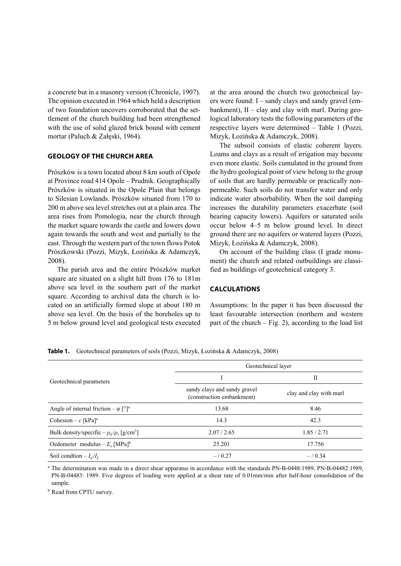a concrete but in a masonry version (Chronicle, 1907). The opinion executed in 1964 which held a description of two foundation uncovers corroborated that the settlement of the church building had been strengthened with the use of solid glazed brick bound with cement mortar (Paluch & Załęski, 1964).

#### **GEOLOGY OF THE CHURCH AREA**

Prószków is a town located about 8 km south of Opole at Province road 414 Opole – Prudnik. Geographically Prószków is situated in the Opole Plain that belongs to Silesian Lowlands. Prószków situated from 170 to 200 m above sea level stretches out at a plain area. The area rises from Pomologia, near the church through the market square towards the castle and lowers down again towards the south and west and partially to the east. Through the western part of the town flows Potok Prószkowski (Pozzi, Mizyk, Łozińska & Adamczyk, 2008).

The parish area and the entire Prószków market square are situated on a slight hill from 176 to 181m above sea level in the southern part of the market square. According to archival data the church is located on an artificially formed slope at about 180 m above sea level. On the basis of the boreholes up to 5 m below ground level and geological tests executed

at the area around the church two geotechnical layers were found: I – sandy clays and sandy gravel (embankment),  $II - clay$  and clay with marl. During geological laboratory tests the following parameters of the respective layers were determined – Table 1 (Pozzi, Mizyk, Łozińska & Adamczyk, 2008).

The subsoil consists of elastic coherent layers. Loams and clays as a result of irrigation may become even more elastic. Soils cumulated in the ground from the hydro geological point of view belong to the group of soils that are hardly permeable or practically nonpermeable. Such soils do not transfer water and only indicate water absorbability. When the soil damping increases the durability parameters exacerbate (soil bearing capacity lowers). Aquifers or saturated soils occur below 4–5 m below ground level. In direct ground there are no aquifers or watered layers (Pozzi, Mizyk, Łozińska & Adamczyk, 2008).

On account of the building class (I grade monument) the church and related outbuildings are classified as buildings of geotechnical category 3.

### **CALCULATIONS**

Assumptions: In the paper it has been discussed the least favourable intersection (northern and western part of the church  $-$  Fig. 2), according to the load list

Geotechnical parameters Geotechnical layer I and the set of the set of the set of the set of the set of the set of the set of the set of the set of the s sandy clays and sandy gravel example clays and sandy graver<br>
clay and clay with marl<br>
(construction embankment) Angle of internal friction –  $\varphi$  [°]<sup>a</sup> 13.68 8.46 Cohesion –  $c$   $[kPa]^a$  14.3 42.3 Bulk density/specific  $-\rho_d/\rho_s$  [g/cm<sup>3</sup>] ] 2.07 / 2.65 1.85 / 2.71 Oedometer modulus – *E<sub>o</sub>* [MPa]<sup>b</sup> 25.201 25.201 17.756 Soil condtion  $-I_d/I_L$  – / 0.27 – / 0.34

**Table 1.** Geotechnical parameters of soils (Pozzi, Mizyk, Łozińska & Adamczyk, 2008)

<sup>a</sup> The determination was made in a direct shear apparatus in accordance with the standards PN-B-0448:1989, PN-B-04482:1989, PN-B-04483: 1989. Five degrees of loading were applied at a shear rate of 0.01mm/min after half-hour consolidation of the sample.

**b** Read from CPTU survey.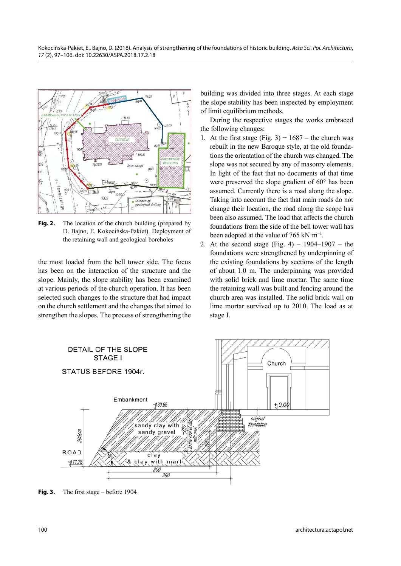

**Fig. 2.** The location of the church building (prepared by D. Bajno, E. Kokocińska-Pakiet). Deployment of the retaining wall and geological boreholes

the most loaded from the bell tower side. The focus has been on the interaction of the structure and the slope. Mainly, the slope stability has been examined at various periods of the church operation. It has been selected such changes to the structure that had impact on the church settlement and the changes that aimed to strengthen the slopes. The process of strengthening the

building was divided into three stages. At each stage the slope stability has been inspected by employment of limit equilibrium methods.

During the respective stages the works embraced the following changes:

- 1. At the first stage (Fig. 3)  $1687$  the church was rebuilt in the new Baroque style, at the old foundations the orientation of the church was changed. The slope was not secured by any of masonry elements. In light of the fact that no documents of that time were preserved the slope gradient of 60° has been assumed. Currently there is a road along the slope. Taking into account the fact that main roads do not change their location, the road along the scope has been also assumed. The load that affects the church foundations from the side of the bell tower wall has been adopted at the value of 765 kN $\cdot$ m<sup>-1</sup>.
- 2. At the second stage (Fig. 4)  $1904-1907$  the foundations were strengthened by underpinning of the existing foundations by sections of the length of about 1.0 m. The underpinning was provided with solid brick and lime mortar. The same time the retaining wall was built and fencing around the church area was installed. The solid brick wall on lime mortar survived up to 2010. The load as at stage I.



**Fig. 3.** The first stage – before 1904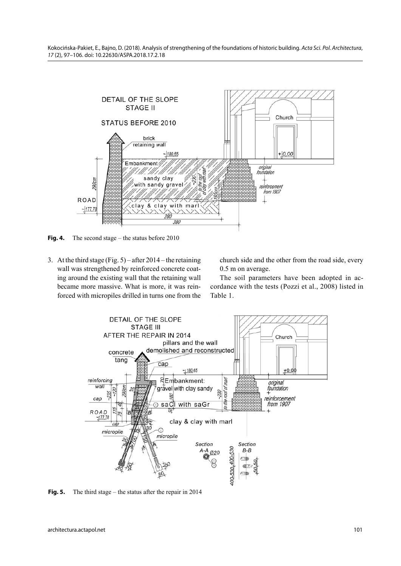

**Fig. 4.** The second stage – the status before 2010

3. At the third stage (Fig. 5) – after 2014 – the retaining wall was strengthened by reinforced concrete coating around the existing wall that the retaining wall became more massive. What is more, it was reinforced with micropiles drilled in turns one from the church side and the other from the road side, every 0.5 m on average.

The soil parameters have been adopted in accordance with the tests (Pozzi et al., 2008) listed in Table 1.



**Fig. 5.** The third stage – the status after the repair in 2014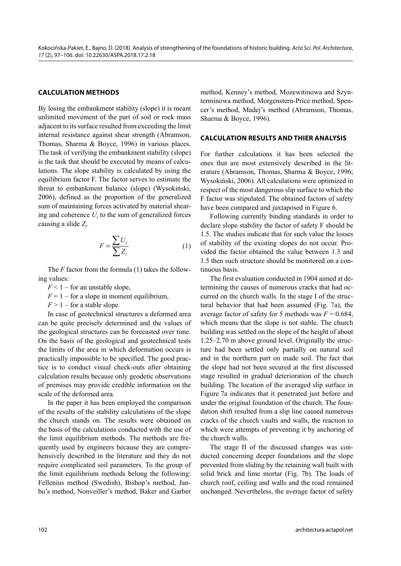# **CALCULATION METHODS**

By losing the embankment stability (slope) it is meant unlimited movement of the part of soil or rock mass adjacent to its surface resulted from exceeding the limit internal resistance against shear strength (Abramson, Thomas, Sharma & Boyce, 1996) in various places. The task of verifying the embankment stability (slope) is the task that should be executed by means of calculations. The slope stability is calculated by using the equilibrium factor F. The factor serves to estimate the threat to embankment balance (slope) (Wysokiński, 2006), defined as the proportion of the generalized sum of maintaining forces activated by material shearing and coherence  $U_i$  to the sum of generalized forces causing a slide *Zi* .

$$
F = \frac{\sum U_i}{\sum Z_i} \tag{1}
$$

The *F* factor from the formula (1) takes the following values:

- $F < 1$  for an unstable slope,
- $F = 1 -$  for a slope in moment equilibrium,
- $F > 1$  for a stable slope.

In case of geotechnical structures a deformed area can be quite precisely determined and the values of the geological structures can be forecasted over time. On the basis of the geological and geotechnical tests the limits of the area in which deformation occurs is practically impossible to be specified. The good practice is to conduct visual check-outs after obtaining calculation results because only geodetic observations of premises may provide credible information on the scale of the deformed area.

In the paper it has been employed the comparison of the results of the stability calculations of the slope the church stands on. The results were obtained on the basis of the calculations conducted with the use of the limit equilibrium methods. The methods are frequently used by engineers because they are comprehensively described in the literature and they do not require complicated soil parameters. To the group of the limit equilibrium methods belong the following: Fellenius method (Swedish), Bishop's method, Janbu's method, Nonveiller's method, Baker and Garber

method, Kenney's method, Mozewitinowa and Szynterminowa method, Morgenstern-Price method, Spencer's method, Madej's method (Abramson, Thomas, Sharma & Boyce, 1996).

# **CALCULATION RESULTS AND THIER ANALYSIS**

For further calculations it has been selected the ones that are most extensively described in the literature (Abramson, Thomas, Sharma & Boyce, 1996; Wysokiński, 2006). All calculations were optimized in respect of the most dangerous slip surface to which the F factor was stipulated. The obtained factors of safety have been compared and juxtaposed in Figure 6.

Following currently binding standards in order to declare slope stability the factor of safety F should be 1.5. The studies indicate that for such value the losses of stability of the existing slopes do not occur. Provided the factor obtained the value between 1.3 and 1.5 then such structure should be monitored on a continuous basis.

The first evaluation conducted in 1904 aimed at determining the causes of numerous cracks that had occurred on the church walls. In the stage I of the structural behavior that had been assumed (Fig. 7a), the average factor of safety for 5 methods was  $F = 0.684$ , which means that the slope is not stable. The church building was settled on the slope of the height of about 1.25–2.70 m above ground level. Originally the structure had been settled only partially on natural soil and in the northern part on made soil. The fact that the slope had not been secured at the first discussed stage resulted in gradual deterioration of the church building. The location of the averaged slip surface in Figure 7a indicates that it penetrated just before and under the original foundation of the church. The foundation shift resulted from a slip line caused numerous cracks of the church vaults and walls, the reaction to which were attempts of preventing it by anchoring of the church walls.

The stage II of the discussed changes was conducted concerning deeper foundations and the slope prevented from sliding by the retaining wall built with solid brick and lime mortar (Fig. 7b). The loads of church roof, ceiling and walls and the road remained unchanged. Nevertheless, the average factor of safety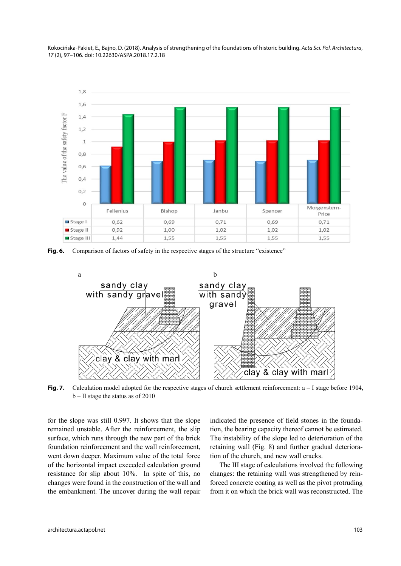

**Fig. 6.** Comparison of factors of safety in the respective stages of the structure "existence"



**Fig. 7.** Calculation model adopted for the respective stages of church settlement reinforcement:  $a - I$  stage before 1904, b – II stage the status as of 2010

for the slope was still 0.997. It shows that the slope remained unstable. After the reinforcement, the slip surface, which runs through the new part of the brick foundation reinforcement and the wall reinforcement, went down deeper. Maximum value of the total force of the horizontal impact exceeded calculation ground resistance for slip about 10%. In spite of this, no changes were found in the construction of the wall and the embankment. The uncover during the wall repair

indicated the presence of field stones in the foundation, the bearing capacity thereof cannot be estimated. The instability of the slope led to deterioration of the retaining wall (Fig. 8) and further gradual deterioration of the church, and new wall cracks.

The III stage of calculations involved the following changes: the retaining wall was strengthened by reinforced concrete coating as well as the pivot protruding from it on which the brick wall was reconstructed. The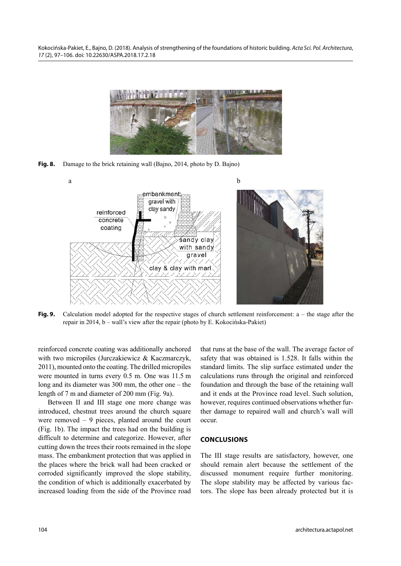

**Fig. 8.** Damage to the brick retaining wall (Bajno, 2014, photo by D. Bajno)



**Fig. 9.** Calculation model adopted for the respective stages of church settlement reinforcement: a – the stage after the repair in 2014, b – wall's view after the repair (photo by E. Kokocińska-Pakiet)

reinforced concrete coating was additionally anchored with two micropiles (Jurczakiewicz & Kaczmarczyk, 2011), mounted onto the coating. The drilled micropiles were mounted in turns every 0.5 m. One was 11.5 m long and its diameter was 300 mm, the other one – the length of 7 m and diameter of 200 mm (Fig. 9a).

Between II and III stage one more change was introduced, chestnut trees around the church square were removed – 9 pieces, planted around the court (Fig. 1b). The impact the trees had on the building is difficult to determine and categorize. However, after cutting down the trees their roots remained in the slope mass. The embankment protection that was applied in the places where the brick wall had been cracked or corroded significantly improved the slope stability, the condition of which is additionally exacerbated by increased loading from the side of the Province road that runs at the base of the wall. The average factor of safety that was obtained is 1.528. It falls within the standard limits. The slip surface estimated under the calculations runs through the original and reinforced foundation and through the base of the retaining wall and it ends at the Province road level. Such solution, however, requires continued observations whether further damage to repaired wall and church's wall will occur.

#### **CONCLUSIONS**

The III stage results are satisfactory, however, one should remain alert because the settlement of the discussed monument require further monitoring. The slope stability may be affected by various factors. The slope has been already protected but it is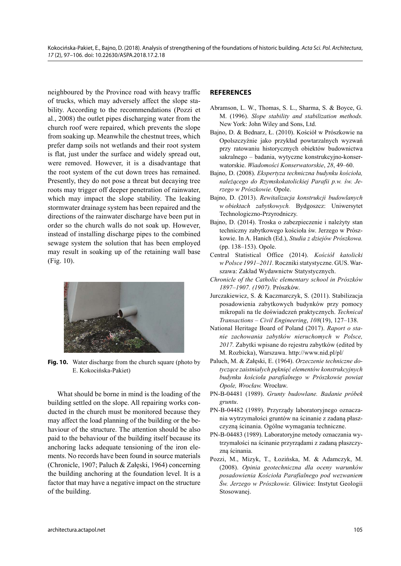neighboured by the Province road with heavy traffic of trucks, which may adversely affect the slope stability. According to the recommendations (Pozzi et al., 2008) the outlet pipes discharging water from the church roof were repaired, which prevents the slope from soaking up. Meanwhile the chestnut trees, which prefer damp soils not wetlands and their root system is flat, just under the surface and widely spread out, were removed. However, it is a disadvantage that the root system of the cut down trees has remained. Presently, they do not pose a threat but decaying tree roots may trigger off deeper penetration of rainwater, which may impact the slope stability. The leaking stormwater drainage system has been repaired and the directions of the rainwater discharge have been put in order so the church walls do not soak up. However, instead of installing discharge pipes to the combined sewage system the solution that has been employed may result in soaking up of the retaining wall base (Fig. 10).



**Fig. 10.** Water discharge from the church square (photo by E. Kokocińska-Pakiet)

What should be borne in mind is the loading of the building settled on the slope. All repairing works conducted in the church must be monitored because they may affect the load planning of the building or the behaviour of the structure. The attention should be also paid to the behaviour of the building itself because its anchoring lacks adequate tensioning of the iron elements. No records have been found in source materials (Chronicle, 1907; Paluch & Załęski, 1964) concerning the building anchoring at the foundation level. It is a factor that may have a negative impact on the structure of the building.

# **REFERENCES**

- Abramson, L. W., Thomas, S. L., Sharma, S. & Boyce, G. M. (1996). *Slope stability and stabilization methods.* New York: John Wiley and Sons, Ltd.
- Bajno, D. & Bednarz, Ł. (2010). Kościół w Prószkowie na Opolszczyźnie jako przykład powtarzalnych wyzwań przy ratowaniu historycznych obiektów budownictwa sakralnego – badania, wytyczne konstrukcyjno-konserwatorskie. *Wiadomości Konserwatorskie*, *28*, 49–60.
- Bajno, D. (2008). *Ekspertyza techniczna budynku kościoła, należącego do Rzymskokatolickiej Parafii p.w. św. Jerzego w Prószkowie.* Opole.
- Bajno, D. (2013). *Rewitalizacja konstrukcji budowlanych w obiektach zabytkowych.* Bydgoszcz: Uniwersytet Technologiczno-Przyrodniczy.
- Bajno, D. (2014). Troska o zabezpieczenie i należyty stan techniczny zabytkowego kościoła św. Jerzego w Prószkowie. In A. Hanich (Ed.), *Studia z dziejów Prószkowa.* (pp. 138–153). Opole.
- Central Statistical Office (2014). *Kościół katolicki w Polsce 1991–2011.* Roczniki statystyczne. GUS. War szawa: Zakład Wydawnictw Statystycznych.
- *Chronicle of the Catholic elementary school in Prószków 1897–1907. (1907).* Prószków.
- Jurczakiewicz, S. & Kaczmarczyk, S. (2011). Stabilizacja posadowienia zabytkowych budynków przy pomocy mikropali na tle doświadczeń praktycznych. *Technical Transactions – Civil Engineering*, *108*(19), 127–138.
- National Heritage Board of Poland (2017). *Raport o stanie zachowania zabytków nieruchomych w Polsce, 2017.* Zabytki wpisane do rejestru zabytków (edited by M. Rozbicka), Warszawa. http://www.nid.pl/pl/
- Paluch, M. & Załęski, E. (1964). *Orzeczenie techniczne dotyczące zaistniałych pęknięć elementów konstrukcyjnych budynku kościoła parafialnego w Prószkowie powiat Opole, Wrocław.* Wrocław.
- PN-B-04481 (1989). *Grunty budowlane. Badanie próbek gruntu*.
- PN-B-04482 (1989). Przyrządy laboratoryjnego oznaczania wytrzymałości gruntów na ścinanie z zadaną płaszczyzną ścinania. Ogólne wymagania techniczne.
- PN-B-04483 (1989). Laboratoryjne metody oznaczania wytrzymałości na ścinanie przyrządami z zadaną płaszczyzną ścinania.
- Pozzi, M., Mizyk, T., Łozińska, M. & Adamczyk, M. (2008). *Opinia geotechniczna dla oceny warunków posadowienia Kościoła Parafialnego pod wezwaniem Św. Jerzego w Prószkowie.* Gliwice: Instytut Geologii Stosowanej.